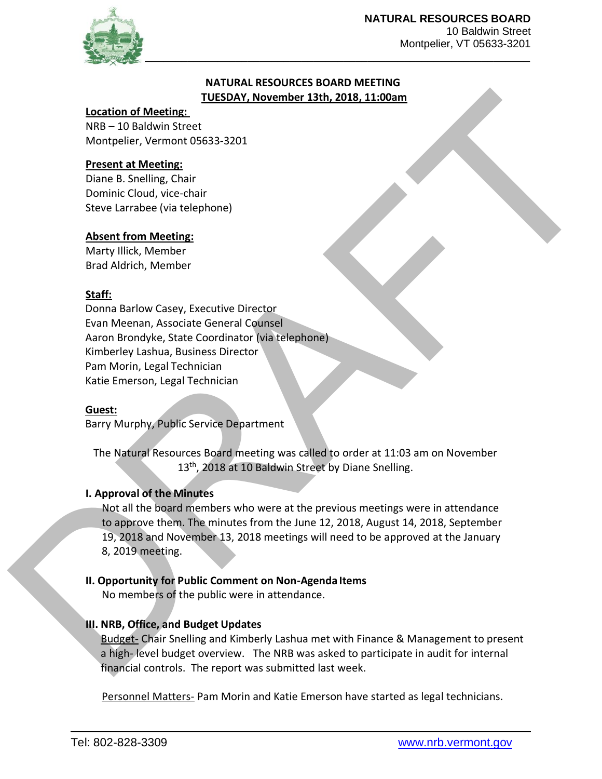

Montpelier, VT 05633-3201

### **NATURAL RESOURCES BOARD MEETING TUESDAY, November 13th, 2018, 11:00am**

#### **Location of Meeting:**

NRB – 10 Baldwin Street Montpelier, Vermont 05633-3201

### **Present at Meeting:**

Diane B. Snelling, Chair Dominic Cloud, vice-chair Steve Larrabee (via telephone)

### **Absent from Meeting:**

Marty Illick, Member Brad Aldrich, Member

# **Staff:**

Donna Barlow Casey, Executive Director Evan Meenan, Associate General Counsel Aaron Brondyke, State Coordinator (via telephone) Kimberley Lashua, Business Director Pam Morin, Legal Technician Katie Emerson, Legal Technician

### **Guest:**

Barry Murphy, Public Service Department

The Natural Resources Board meeting was called to order at 11:03 am on November 13<sup>th</sup>, 2018 at 10 Baldwin Street by Diane Snelling.

### **I. Approval of the Minutes**

Thus a three methods<br>
More - 10 Saldwar Street and Moreling:<br>
More than the Moreling:<br>
Moreling is the month OS633-3201<br>
Possent and Moreling Chief<br>
Deman & Moreling Chief<br>
Deman & Clearly of the Moreling<br>
State United Mor Not all the board members who were at the previous meetings were in attendance to approve them. The minutes from the June 12, 2018, August 14, 2018, September 19, 2018 and November 13, 2018 meetings will need to be approved at the January 8, 2019 meeting.

### **II. Opportunity for Public Comment on Non-Agenda Items**

No members of the public were in attendance.

# **III. NRB, Office, and Budget Updates**

Budget- Chair Snelling and Kimberly Lashua met with Finance & Management to present a high- level budget overview. The NRB was asked to participate in audit for internal financial controls. The report was submitted last week.

Personnel Matters- Pam Morin and Katie Emerson have started as legal technicians.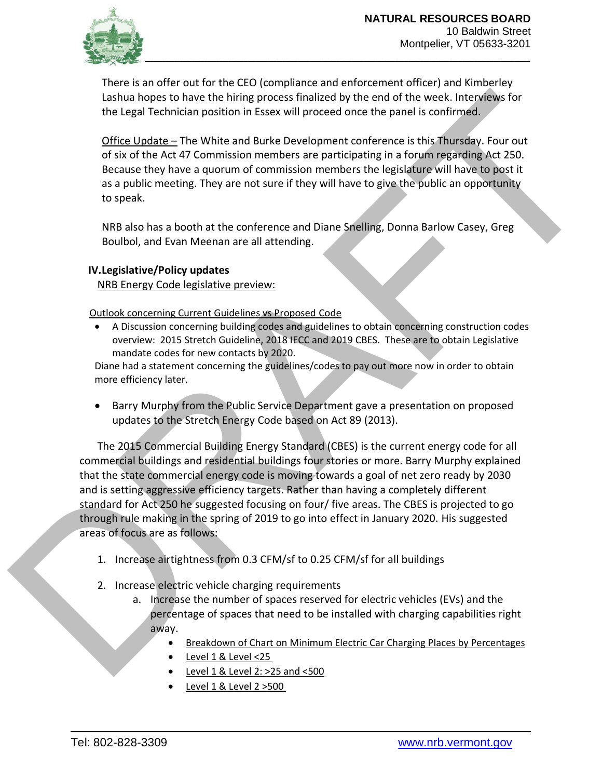

There is an offer out for the CEO (compliance and enforcement officer) and Kimberley Lashua hopes to have the hiring process finalized by the end of the week. Interviews for the Legal Technician position in Essex will proceed once the panel is confirmed.

Office Update – The White and Burke Development conference is this Thursday. Four out of six of the Act 47 Commission members are participating in a forum regarding Act 250. Because they have a quorum of commission members the legislature will have to post it as a public meeting. They are not sure if they will have to give the public an opportunity to speak.

NRB also has a booth at the conference and Diane Snelling, Donna Barlow Casey, Greg Boulbol, and Evan Meenan are all attending.

### **IV.Legislative/Policy updates**

NRB Energy Code legislative preview:

Outlook concerning Current Guidelines vs Proposed Code

• A Discussion concerning building codes and guidelines to obtain concerning construction codes overview: 2015 Stretch Guideline, 2018 IECC and 2019 CBES. These are to obtain Legislative mandate codes for new contacts by 2020.

Diane had a statement concerning the guidelines/codes to pay out more now in order to obtain more efficiency later.

• Barry Murphy from the Public Service Department gave a presentation on proposed updates to the Stretch Energy Code based on Act 89 (2013).

Lashin hopes to bue the hiring process finalized by the end of the weige. Interactions the Lagal Technician position in Essex will proceed once the pain is finalized.<br>
Office Update – The White and Bark Development confere The 2015 Commercial Building Energy Standard (CBES) is the current energy code for all commercial buildings and residential buildings four stories or more. Barry Murphy explained that the state commercial energy code is moving towards a goal of net zero ready by 2030 and is setting aggressive efficiency targets. Rather than having a completely different standard for Act 250 he suggested focusing on four/ five areas. The CBES is projected to go through rule making in the spring of 2019 to go into effect in January 2020. His suggested areas of focus are as follows:

- 1. Increase airtightness from 0.3 CFM/sf to 0.25 CFM/sf for all buildings
- 2. Increase electric vehicle charging requirements
	- a. Increase the number of spaces reserved for electric vehicles (EVs) and the percentage of spaces that need to be installed with charging capabilities right away.
		- Breakdown of Chart on Minimum Electric Car Charging Places by Percentages
		- Level 1 & Level <25
		- $\bullet$  Level 1 & Level 2: >25 and <500
		- Level 1 & Level 2 > 500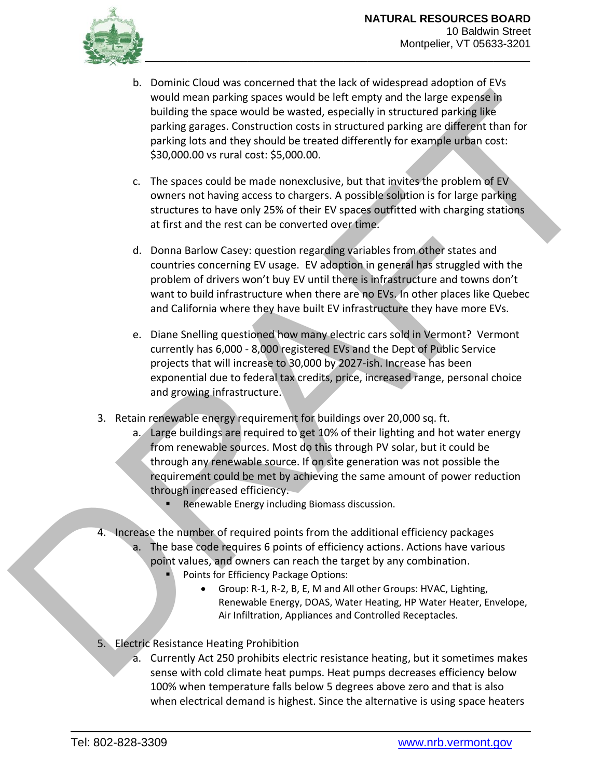

- would mean parking space would be interesting and half the mean expense in building the space would be wasted, cspecially in structured parking like<br>parking anges concerned not as in ancuelar parking and parking like<br>park b. Dominic Cloud was concerned that the lack of widespread adoption of EVs would mean parking spaces would be left empty and the large expense in building the space would be wasted, especially in structured parking like parking garages. Construction costs in structured parking are different than for parking lots and they should be treated differently for example urban cost: \$30,000.00 vs rural cost: \$5,000.00.
	- c. The spaces could be made nonexclusive, but that invites the problem of EV owners not having access to chargers. A possible solution is for large parking structures to have only 25% of their EV spaces outfitted with charging stations at first and the rest can be converted over time.
	- d. Donna Barlow Casey: question regarding variables from other states and countries concerning EV usage. EV adoption in general has struggled with the problem of drivers won't buy EV until there is infrastructure and towns don't want to build infrastructure when there are no EVs. In other places like Quebec and California where they have built EV infrastructure they have more EVs.
	- e. Diane Snelling questioned how many electric cars sold in Vermont? Vermont currently has 6,000 - 8,000 registered EVs and the Dept of Public Service projects that will increase to 30,000 by 2027-ish. Increase has been exponential due to federal tax credits, price, increased range, personal choice and growing infrastructure.
	- 3. Retain renewable energy requirement for buildings over 20,000 sq. ft.
		- a. Large buildings are required to get 10% of their lighting and hot water energy from renewable sources. Most do this through PV solar, but it could be through any renewable source. If on site generation was not possible the requirement could be met by achieving the same amount of power reduction through increased efficiency.
			- Renewable Energy including Biomass discussion.
	- 4. Increase the number of required points from the additional efficiency packages a. The base code requires 6 points of efficiency actions. Actions have various point values, and owners can reach the target by any combination.
		- Points for Efficiency Package Options:
			- Group: R-1, R-2, B, E, M and All other Groups: HVAC, Lighting, Renewable Energy, DOAS, Water Heating, HP Water Heater, Envelope, Air Infiltration, Appliances and Controlled Receptacles.
	- 5. Electric Resistance Heating Prohibition
		- a. Currently Act 250 prohibits electric resistance heating, but it sometimes makes sense with cold climate heat pumps. Heat pumps decreases efficiency below 100% when temperature falls below 5 degrees above zero and that is also when electrical demand is highest. Since the alternative is using space heaters